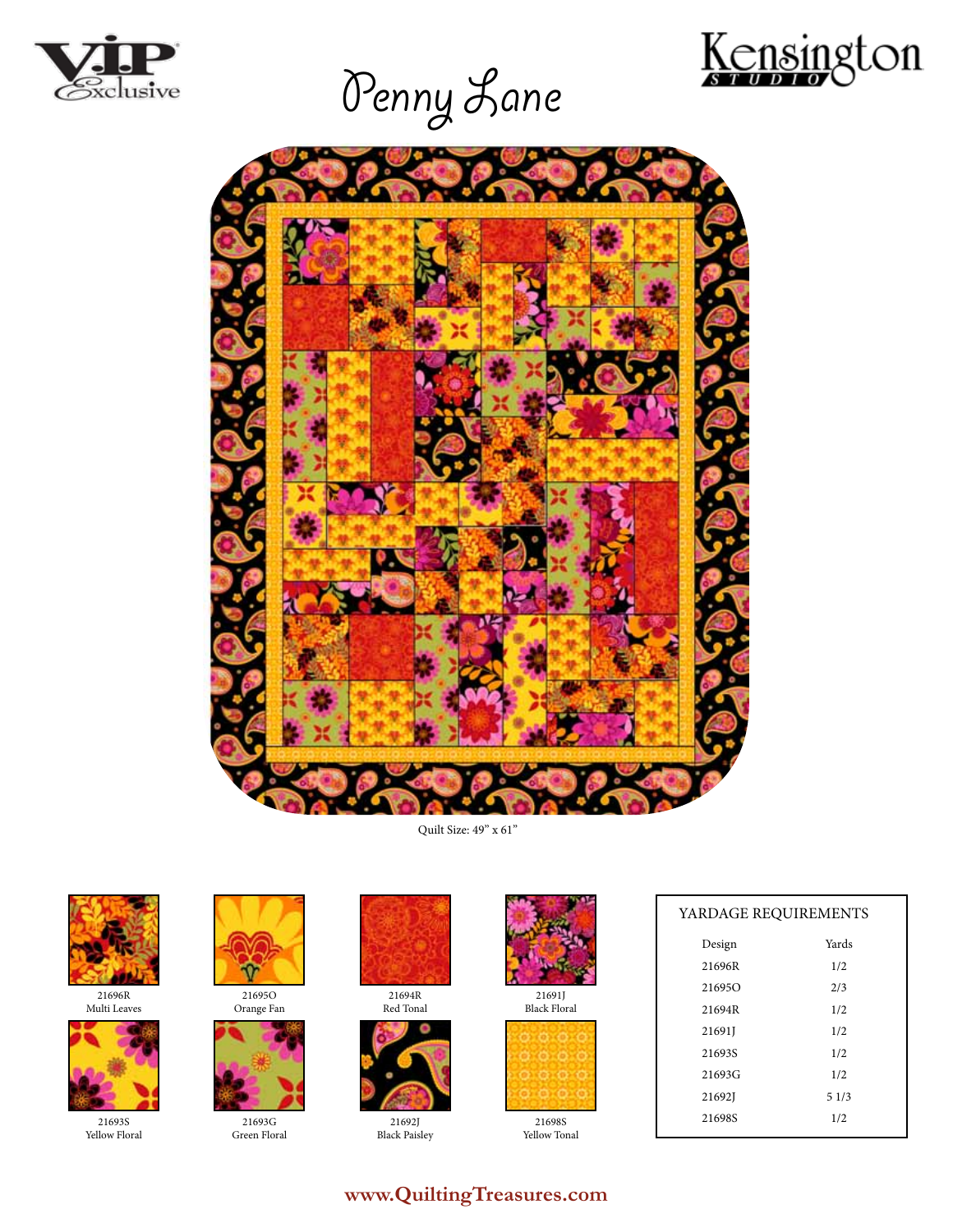







Quilt Size: 49" x 61"



21696R Multi Leaves



21693S Yellow Floral



21695O Orange Fan



21693G Green Floral



21694R Red Tonal



21692J Black Paisley



21691J Black Floral

21698S Yellow Tonal

| YARDAGE REQUIREMENTS |       |
|----------------------|-------|
| Design               | Yards |
| 21696R               | 1/2   |
| 216950               | 2/3   |
| 21694R               | 1/2   |
| 21691J               | 1/2   |
| 21693S               | 1/2   |
| 21693G               | 1/2   |
| 21692J               | 51/3  |
| 21698S               | 1/2   |

# **www.QuiltingTreasures.com**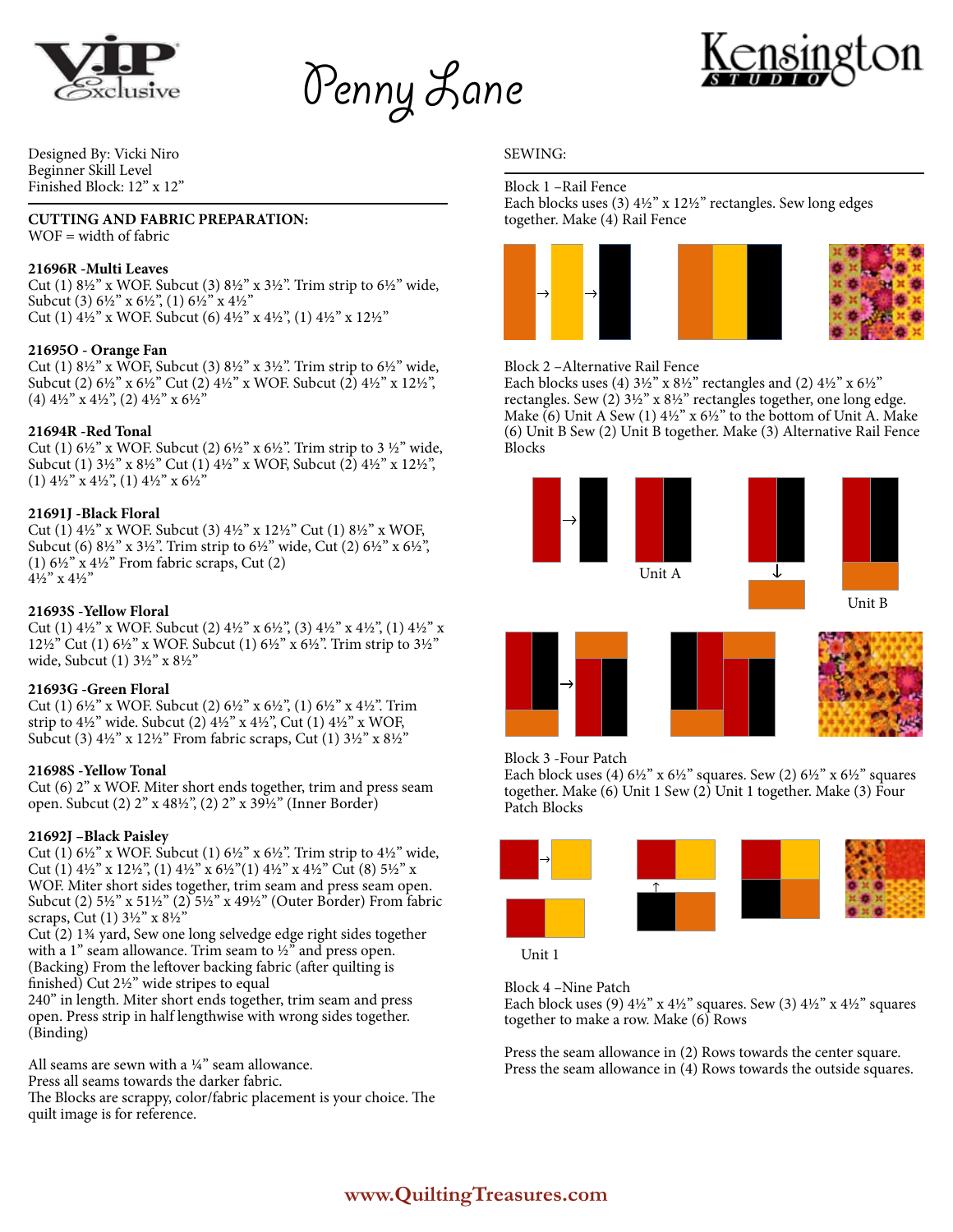



Designed By: Vicki Niro Beginner Skill Level Finished Block: 12" x 12"

## **CUTTING AND FABRIC PREPARATION:**

WOF = width of fabric

# **21696R -Multi Leaves**

Cut (1) 8½" x WOF. Subcut (3) 8½" x 3½". Trim strip to 6½" wide, Subcut (3) 6½" x 6½", (1) 6½" x 4½" Cut (1)  $4\frac{1}{2}$ " x WOF. Subcut (6)  $4\frac{1}{2}$ " x  $4\frac{1}{2}$ ", (1)  $4\frac{1}{2}$ " x  $12\frac{1}{2}$ "

# **21695O - Orange Fan**

Cut (1) 8½" x WOF, Subcut (3) 8½" x 3½". Trim strip to 6½" wide, Subcut (2) 6½" x 6½" Cut (2) 4½" x WOF. Subcut (2) 4½" x 12½", (4) 4½" x 4½", (2) 4½" x 6½"

## **21694R -Red Tonal**

Cut (1)  $6\frac{1}{2}$ " x WOF. Subcut (2)  $6\frac{1}{2}$ " x  $6\frac{1}{2}$ ". Trim strip to 3  $\frac{1}{2}$ " wide, Subcut (1) 3½" x 8½" Cut (1) 4½" x WOF, Subcut (2) 4½" x 12½", (1) 4½" x 4½", (1) 4½" x 6½"

## **21691J -Black Floral**

Cut (1) 4½" x WOF. Subcut (3) 4½" x 12½" Cut (1) 8½" x WOF, Subcut (6) 8½" x 3½". Trim strip to 6½" wide, Cut (2) 6½" x 6½", (1)  $6\frac{1}{2}$ " x  $4\frac{1}{2}$ " From fabric scraps, Cut (2) 4½" x 4½"

## **21693S -Yellow Floral**

Cut (1)  $4\frac{1}{2}$ " x WOF. Subcut (2)  $4\frac{1}{2}$ " x  $6\frac{1}{2}$ ", (3)  $4\frac{1}{2}$ " x  $4\frac{1}{2}$ ", (1)  $4\frac{1}{2}$ " x 12½" Cut (1) 6½" x WOF. Subcut (1) 6½" x 6½". Trim strip to 3½" wide, Subcut (1) 3½" x 8½"

#### **21693G -Green Floral**

Cut (1) 6½" x WOF. Subcut (2) 6½" x 6½", (1) 6½" x 4½". Trim strip to 4½" wide. Subcut (2) 4½" x 4½", Cut (1) 4½" x WOF, Subcut (3) 4½" x 12½" From fabric scraps, Cut (1) 3½" x 8½"

#### **21698S -Yellow Tonal**

Cut (6) 2" x WOF. Miter short ends together, trim and press seam open. Subcut (2) 2" x 48½", (2) 2" x 39½" (Inner Border)

#### **21692J –Black Paisley**

Cut (1)  $6\frac{1}{2}$ " x WOF. Subcut (1)  $6\frac{1}{2}$ " x  $6\frac{1}{2}$ ". Trim strip to  $4\frac{1}{2}$ " wide, Cut (1) 4½" x 12½", (1) 4½" x 6½"(1) 4½" x 4½" Cut (8) 5½" x WOF. Miter short sides together, trim seam and press seam open. Subcut (2) 5½" x 51½" (2) 5½" x 49½" (Outer Border) From fabric scraps, Cut (1) 3½" x 8½"

Cut (2) 1¾ yard, Sew one long selvedge edge right sides together with a 1" seam allowance. Trim seam to  $\frac{1}{2}$ " and press open. (Backing) From the leftover backing fabric (after quilting is finished) Cut 2½" wide stripes to equal

240" in length. Miter short ends together, trim seam and press open. Press strip in half lengthwise with wrong sides together. (Binding)

All seams are sewn with a ¼" seam allowance.

Press all seams towards the darker fabric.

The Blocks are scrappy, color/fabric placement is your choice. The quilt image is for reference.

## SEWING:

Block 1 –Rail Fence Each blocks uses (3) 4½" x 12½" rectangles. Sew long edges together. Make (4) Rail Fence



#### Block 2 –Alternative Rail Fence

Each blocks uses (4)  $3\frac{1}{2}$ " x  $8\frac{1}{2}$ " rectangles and (2)  $4\frac{1}{2}$ " x  $6\frac{1}{2}$ " rectangles. Sew (2) 3½" x 8½" rectangles together, one long edge. Make  $(6)$  Unit A Sew  $(1)$  4½" x 6½" to the bottom of Unit A. Make (6) Unit B Sew (2) Unit B together. Make (3) Alternative Rail Fence Blocks









Block 3 -Four Patch

Each block uses (4)  $6\frac{1}{2}$ " x  $6\frac{1}{2}$ " squares. Sew (2)  $6\frac{1}{2}$ " x  $6\frac{1}{2}$ " squares together. Make (6) Unit 1 Sew (2) Unit 1 together. Make (3) Four Patch Blocks



Unit 1

Block 4 –Nine Patch

Each block uses (9)  $4\frac{1}{2}$ " x  $4\frac{1}{2}$ " squares. Sew (3)  $4\frac{1}{2}$ " x  $4\frac{1}{2}$ " squares together to make a row. Make (6) Rows

Press the seam allowance in (2) Rows towards the center square. Press the seam allowance in (4) Rows towards the outside squares.